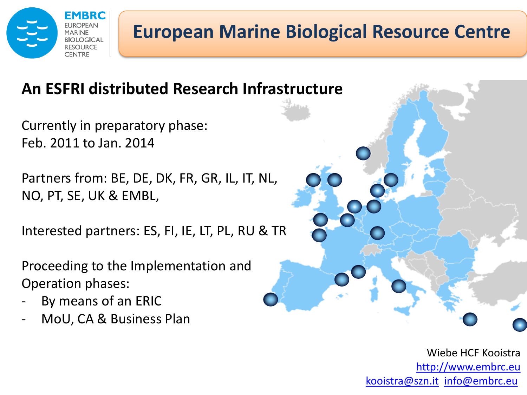

## **European Marine Biological Resource Centre**

#### **An ESFRI distributed Research Infrastructure**

Currently in preparatory phase: Feb. 2011 to Jan. 2014

Partners from: BE, DE, DK, FR, GR, IL, IT, NL, NO, PT, SE, UK & EMBL,

Interested partners: ES, FI, IE, LT, PL, RU & TR

Proceeding to the Implementation and Operation phases:

- By means of an ERIC
- MoU, CA & Business Plan

Wiebe HCF Kooistra <http://www.embrc.eu> [kooistra@szn.it](mailto:kooistra@szn.it) [info@embrc.eu](mailto:info@embrc.eu)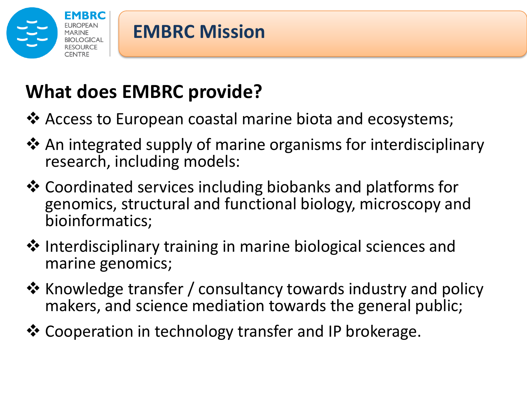

## **What does EMBRC provide?**

- ❖ Access to European coastal marine biota and ecosystems;
- **\*** An integrated supply of marine organisms for interdisciplinary research, including models:
- Coordinated services including biobanks and platforms for genomics, structural and functional biology, microscopy and bioinformatics;
- ❖ Interdisciplinary training in marine biological sciences and marine genomics;
- $\clubsuit$  Knowledge transfer / consultancy towards industry and policy makers, and science mediation towards the general public;
- Cooperation in technology transfer and IP brokerage.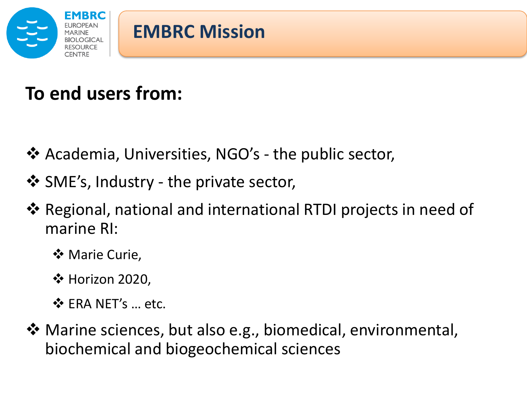

#### **To end users from:**

- ❖ Academia, Universities, NGO's the public sector,
- ❖ SME's, Industry the private sector,
- **\*** Regional, national and international RTDI projects in need of marine RI:
	- **☆ Marie Curie,**
	- $\div$  **Horizon 2020,**
	- ❖ FRA NFT's … etc.
- Marine sciences, but also e.g., biomedical, environmental, biochemical and biogeochemical sciences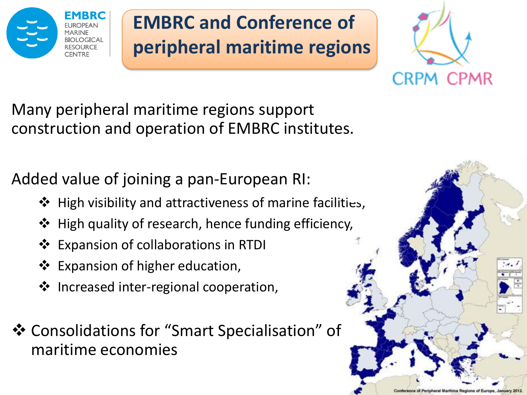

# **EMBRC and Conference of peripheral maritime regions**



Many peripheral maritime regions support construction and operation of EMBRC institutes.

Added value of joining a pan-European RI:

- $\triangle$  High visibility and attractiveness of marine facilities,
- ❖ High quality of research, hence funding efficiency,
- **Expansion of collaborations in RTDI**
- ❖ Expansion of higher education,
- ❖ Increased inter-regional cooperation,
- Consolidations for "Smart Specialisation" of maritime economies